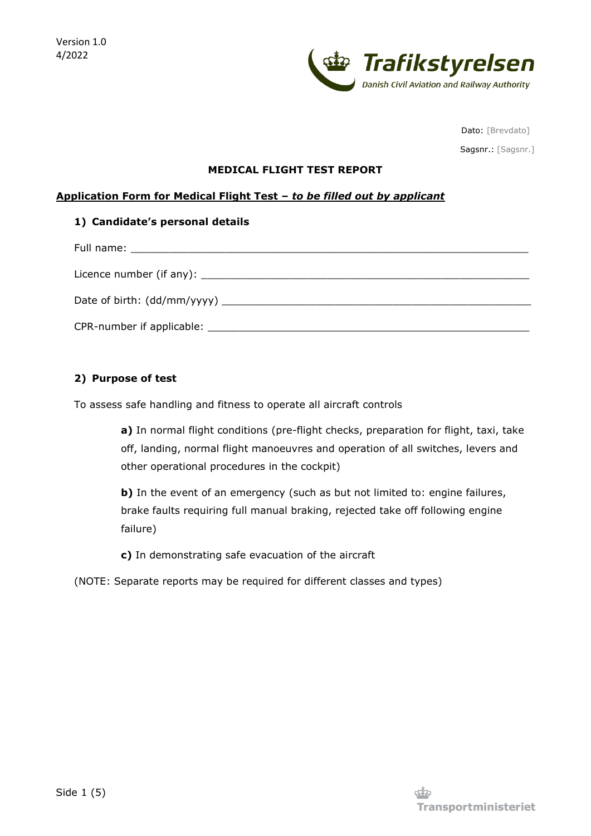

Dato: [Brevdato]

Sagsnr.: [Sagsnr.]

#### **MEDICAL FLIGHT TEST REPORT**

## **Application Form for Medical Flight Test –** *to be filled out by applicant*

# **1) Candidate's personal details**

| Date of birth: $(dd/mm/yyyy)$ |
|-------------------------------|
|                               |

# **2) Purpose of test**

To assess safe handling and fitness to operate all aircraft controls

**a)** In normal flight conditions (pre-flight checks, preparation for flight, taxi, take off, landing, normal flight manoeuvres and operation of all switches, levers and other operational procedures in the cockpit)

**b)** In the event of an emergency (such as but not limited to: engine failures, brake faults requiring full manual braking, rejected take off following engine failure)

**c)** In demonstrating safe evacuation of the aircraft

(NOTE: Separate reports may be required for different classes and types)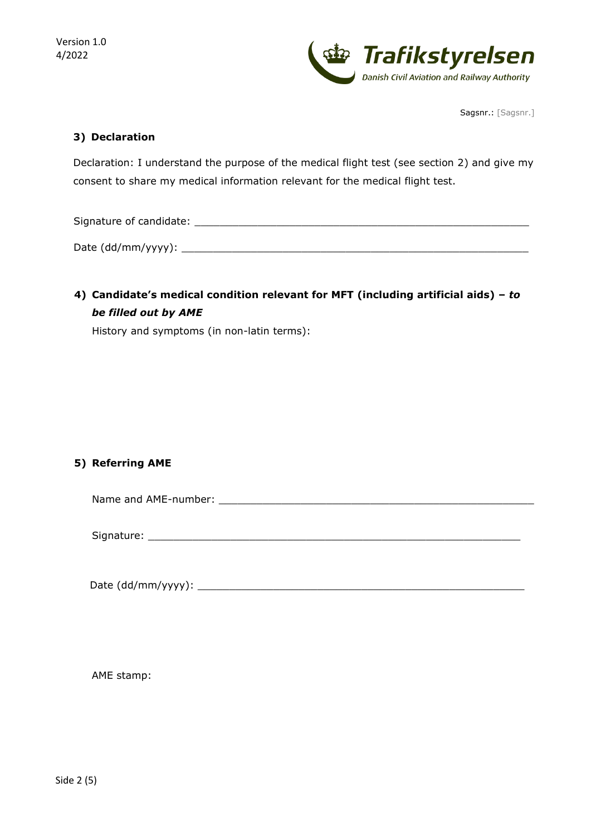

Sagsnr.: [Sagsnr.]

# **3) Declaration**

Declaration: I understand the purpose of the medical flight test (see section 2) and give my consent to share my medical information relevant for the medical flight test.

Signature of candidate: \_\_\_\_\_\_\_\_\_\_\_\_\_\_\_\_\_\_\_\_\_\_\_\_\_\_\_\_\_\_\_\_\_\_\_\_\_\_\_\_\_\_\_\_\_\_\_\_\_\_\_\_\_

 $Date (dd/mm/vyyy):$ 

**4) Candidate's medical condition relevant for MFT (including artificial aids) –** *to be filled out by AME*

History and symptoms (in non-latin terms):

# **5) Referring AME**

Name and AME-number: \_\_\_\_\_\_\_\_\_\_\_\_\_\_\_\_\_\_\_\_\_\_\_\_\_\_\_\_\_\_\_\_\_\_\_\_\_\_\_\_\_\_\_\_\_\_\_\_\_\_

Signature: \_\_\_\_\_\_\_\_\_\_\_\_\_\_\_\_\_\_\_\_\_\_\_\_\_\_\_\_\_\_\_\_\_\_\_\_\_\_\_\_\_\_\_\_\_\_\_\_\_\_\_\_\_\_\_\_\_\_\_

Date (dd/mm/yyyy): \_\_\_\_\_\_\_\_\_\_\_\_\_\_\_\_\_\_\_\_\_\_\_\_\_\_\_\_\_\_\_\_\_\_\_\_\_\_\_\_\_\_\_\_\_\_\_\_\_\_\_\_

AME stamp: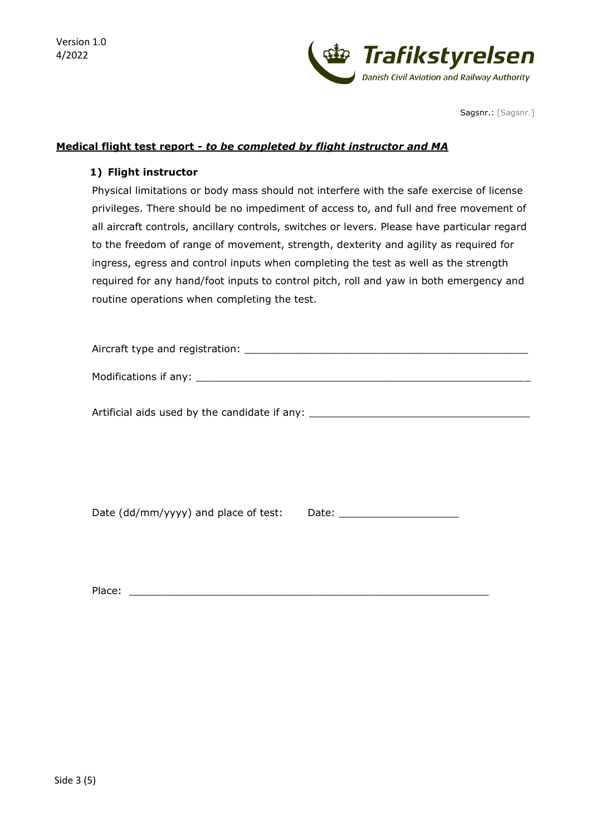Version 1.0 4/2022



Sagsnr.: [Sagsnr.]

## **Medical flight test report -** *to be completed by flight instructor and MA*

#### **1) Flight instructor**

Physical limitations or body mass should not interfere with the safe exercise of license privileges. There should be no impediment of access to, and full and free movement of all aircraft controls, ancillary controls, switches or levers. Please have particular regard to the freedom of range of movement, strength, dexterity and agility as required for ingress, egress and control inputs when completing the test as well as the strength required for any hand/foot inputs to control pitch, roll and yaw in both emergency and routine operations when completing the test.

| Aircraft type and registration: |  |
|---------------------------------|--|
| Modifications if any:           |  |

Artificial aids used by the candidate if any: \_\_\_\_\_\_\_\_\_\_\_\_\_\_\_\_\_\_\_\_\_\_\_\_\_\_\_\_\_\_\_\_\_\_

Date (dd/mm/yyyy) and place of test: Date: \_\_\_\_\_\_\_\_\_\_\_\_\_\_\_\_\_\_\_

Place: \_\_\_\_\_\_\_\_\_\_\_\_\_\_\_\_\_\_\_\_\_\_\_\_\_\_\_\_\_\_\_\_\_\_\_\_\_\_\_\_\_\_\_\_\_\_\_\_\_\_\_\_\_\_\_\_\_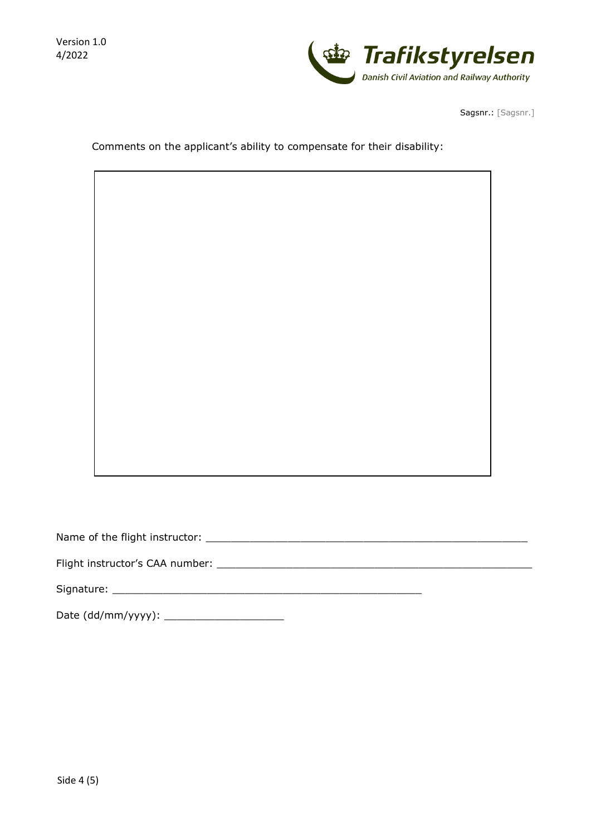

Sagsnr.: [Sagsnr.]

Comments on the applicant's ability to compensate for their disability:

Name of the flight instructor: \_\_\_\_\_\_\_\_\_\_\_\_\_\_\_\_\_\_\_\_\_\_\_\_\_\_\_\_\_\_\_\_\_\_\_\_\_\_\_\_\_\_\_\_\_\_\_\_\_\_\_

Flight instructor's CAA number: \_\_\_\_\_\_\_\_\_\_\_\_\_\_\_\_\_\_\_\_\_\_\_\_\_\_\_\_\_\_\_\_\_\_\_\_\_\_\_\_\_\_\_\_\_\_\_\_\_\_

Signature: \_\_\_\_\_\_\_\_\_\_\_\_\_\_\_\_\_\_\_\_\_\_\_\_\_\_\_\_\_\_\_\_\_\_\_\_\_\_\_\_\_\_\_\_\_\_\_\_\_

Date (dd/mm/yyyy): \_\_\_\_\_\_\_\_\_\_\_\_\_\_\_\_\_\_\_